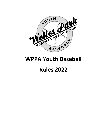

## WPPA Youth Baseball

# Rules 2022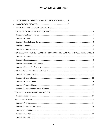| Α. | THE RULES OF WELLES PARK PARENTS ASSOCIATION (WPPA)3                                    |
|----|-----------------------------------------------------------------------------------------|
| В. |                                                                                         |
| C. |                                                                                         |
|    |                                                                                         |
|    |                                                                                         |
|    |                                                                                         |
|    |                                                                                         |
|    |                                                                                         |
|    |                                                                                         |
|    | IHSA RULE 3 SUBSTITUTING - COACHING - BENCH AND FIELD CONDUCT - CHARGED CONFERENCES . 6 |
|    |                                                                                         |
|    |                                                                                         |
|    |                                                                                         |
|    |                                                                                         |
|    |                                                                                         |
|    |                                                                                         |
|    |                                                                                         |
|    |                                                                                         |
|    |                                                                                         |
|    |                                                                                         |
|    |                                                                                         |
|    |                                                                                         |
|    |                                                                                         |
|    |                                                                                         |
|    |                                                                                         |
|    |                                                                                         |
|    |                                                                                         |
|    |                                                                                         |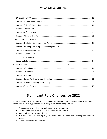| D. |  |
|----|--|
|    |  |
|    |  |
|    |  |
|    |  |
|    |  |
|    |  |

## Significant Rule Changes for 2022

All coaches should read this rule book to ensure that they are familiar with the rules of the division in which they are coaching. In particular, please note the following significant rule changes for 2022:

- The rules related to pitching limits and rest days have been amended
- The number of coach pitches permitted in Junior have been reduced
- Minors will now have an infield fly rule
- In Minors, there is a new rule regarding when a baserunner can advance on the exchange from catcher to pitcher
- Tiebreaker rules have been updated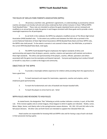## THE RULES OF WELLES PARK PARENTS ASSOCIATION (WPPA)

1. All previous unwritten rules, gentlemen's agreements, or understandings as practiced by veteran coaches and players are hereby null and void unless endorsed by their written inclusion in these "Official WPPA Youth Baseball Rules." These rules are intended to achieve the goals stipulated herein and are reviewed and modified on an annual basis to make the games in each league consistent with these goals and to provide a more meaningful experience for all participants.

2. As set forth in this rulebook, the WPPA has adopted a modified version of The Illinois High School Association (IHSA) baseball rules. To the extent any conflicts exist between the IHSA rules as printed in the current National Federation of State High School Associations (NFHS) Baseball Rules Book and these WPPA rules, the WPPA rules shall prevail. To the extent a scenario is not covered in these rules, the IHSA Rules, as printed in the current NFHS Baseball Rules Book, shall apply.

3. The WPPA Youth Baseball Program emphasizes the highest standards of ethics and sportsmanship and expects that all players, parents, coaches, umpires and spectators will maintain and endorse these high standards. The ethics and sportsmanship of the players, coaches, officials, spectators and others associated with the game must be exemplary and beyond reproach. Everyone participating must conduct himself or herself in a way that is a credit to the league and community.

## OBJECTIVES OF THE WPPA

1. To provide a meaningful athletic experience for children while providing them the opportunity to have a good time.

2. To teach teamwork and respect for teammates, opponents, coaches and umpires, and to emphasize good sportsmanship.

- 3. To teach the fundamentals and rules of baseball and sharpen baseball skills.
- 4. To teach the players to strive hard to win fairly!

## WPPA RULES AND REVISIONS TO IHSA RULES

 As stated herein, the designation "Rev" following an article number indicates a revision, in part, of the IHSA rule. If the revision applies only to certain leagues, those leagues to which it applies are indicated. Rookie, Junior, Minor, Major, Senior, and Liberty refer to the spring/summer season divisions. 8U, 10U, 12U and 14U refer to the fall season divisions. All other rules set forth herein are intended to supplant the indicated IHSA rule.

Head coaches are responsible for knowing IHSA and WPPA rules and for having a copy of each rule book in their possession during a game.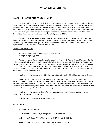## IHSA RULE 1 PLAYERS, FIELD AND EQUIPMENT

The WPPA will furnish all game balls, bases, pitching rubber, catcher's equipment, tees, and score books during the regular and post season schedule. Each team will furnish its own bats and mitts. The WPPA will have available a limited number of helmets with facemasks available upon request by a coach. Each team in Major, Senior, and Liberty will be provided with a minimal supply of wood bats. Teams shall use WPPA issued equipment or comparable equipment that is in good working condition and meets or exceeds standards established by the National Operating Committee on Standards for Athletic Equipment (NOCSAE).

The head coaches are responsible for equipment and uniforms issued to their team and for seeing that equipment is properly maintained. Any person willfully abusing or damaging the equipment will be required to pay for the replacement of said equipment. Normal wear and tear is expected. Coaches and umpires are expected to turn in all equipment at the end of the season.

## Section 1 Positions of Players

Art. 1 Rev ... Minimum number of players to start a game: all leagues: eight (8) players.

Rookie: Defense: The thirteen (13) positions consist of the nine (9) Regular Baseball Positions: Catcher, Pitcher, 1st base, 2nd base, Shortstop, 3rd base, Right Fielder, Center Fielder and Left Fielder. The four (4) extra players are Short Right, Short Center, Mid-Center and Short Left. Once positioned, a player must play that position for the inning. Short Right, Mid-Center, and Short Left cannot be in the infield and must be in front of the outfielders behind the infielders. No infielders (except the pitcher and catcher) may start a play more than one step in front of a base or the base path.

No player may play more than two (2) innings total at the pitcher AND/OR 1st base positions each game.

Junior: Defense: The twelve (12) positions consist of Catcher, Pitcher, 1st base, 2nd base, Short-Center Fielder, Shortstop, 3rd base, Left Fielder, Left-Center Fielder, Center Fielder, Right-Center Fielder and Right Fielder. The Short-Center Fielder must start behind 2nd base between the Shortstop and 2nd Baseman. All of the other outfielders must start each play in the outfield grass area. No infielders (except the pitcher and catcher) may start a play more than one step in front of a base or the base path.

No player may play more than three (3) innings total at pitcher and/or first base positions each game during the regular season prior to the playoffs.

12U, 10U, 8U: All divisions play with 9 defensive positions.

#### Section 2 The Field

Art. 1 Rev... Field dimensions

Senior and 14U: Bases-80'-0", Pitching rubber-54', Home to 2nd-113'-2"

Major and 12U: Bases-70'-0", Pitching rubber-48'-6", Home to 2nd-99'-0'.

Minor and 10U: Bases-60'-0", Pitching rubber-44'-6", Home to 2nd-84'-10"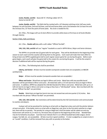Junior, Rookie, and 8U: Bases-60'-0", Pitching rubber-42'-0", Home to 2nd-84'-10"

Junior, Rookie, and 8U: The field shall be marked with a 10' diameter pitching circle; half-way marks between 1st and 2nd base, 2nd and 3rd base, and 3rd and home plate; and a line between the 1st base line and the 3rd base line, 15' from the point of home plate. No circle is needed for 8U.

Art. 9 Rev…The league will use its best efforts to provide safety bases at first base at all levels (Rookie through Liberty).

#### Section 3 Bats, Balls and Gloves

Art. 1 Rev... Rookie will play with a soft rubber "Official Tee-Ball".

14U, 12U, 10U, and 8U will use "regular" baseballs as used in WPPA Minor, Major and Senior divisions.

The WPPA is to provide two (2) game balls for each game. They will be distributed at the beginning of the season to each coach and the coaches will bring them to the games. Each coach will make their best effort to bring at least one WPPA-supplied game ball to each regular season game for use during the game. Before each game begins, each coach will give the game ball to the umpire for use during the game. It will be the umpire's decision if additional balls will be required during the game.

Art. 2 Rev… The following bats shall be permitted:

Liberty, and Senior: All bats must be wooden (composite wooden bats are acceptable.) or BBCOR certified 0.50.

Major: All bats must be wooden (composite wooden bats are acceptable.)

Minor and Junior: Wood bats are legal in Minor and Junior. Metal bats with two possible barrel diameters will be permitted in Minor and Junior. All metal bats with a 2 ¼ inch barrel (or less) are legal in Minor and Junior. In addition, WPPA has adopted the USA Bat Standard for Minor and Junior. Metal bats with up to a 2 5/8-inch barrel are legal in Minor and Junior as long as they have a "USA Baseball" stamp. Bats inscribed with the phrase "Official Tee-Ball" are permitted.

Rookie: Metal bats are legal but barrel size may not exceed two and one quarter (2  $\frac{1}{2}$ ) inches. Bats inscribed with the phrase "Official Tee-Ball" are permitted.

14U, 12U, 10U and 8U: Bat restrictions will be determined by the Fall Commissioner and communicated to coaches and players.

A player will not be penalized for starting an at bat with an illegal bat unless and until the pitcher delivers at least one pitch. If the batter starts an at bat with an illegal bat, and, prior to the first pitch switches to a legal bat, there will be no penalty. The penalty for using an illegal bat is that the batter will be called out and any baserunners will remain at, or return to, the bases they occupied at the beginning of the at bat. Baseball bats may be furnished by any player. Each bat must indicate that it is an official baseball bat (Little League, Senior League, Tee-Ball, etc. are acceptable). All bats must be in good condition. If a bat is judged by an umpire to be in an "unsafe" condition, it will be removed from play with no penalty to the batter.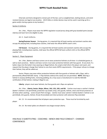Only bats and items designed to remain part of the bat, such as weighted bats, batting donuts, and windresistant devises are legal at any location. (Hit N Stiks or similar devices may not be used in warming up for a game and/or during a game at any location.)

#### Section 4 Uniforms

Art. 1 Rev… Players must wear the WPPA regulation issued jersey along with gray baseball pants (except Liberty) and team hat to be eligible to play.

Art. 5. Coach Uniforms.

Spring/Summer Season: During games, it is required that all head coaches and assistant coaches who occupy the playing field, including base coaches, shall wear the official WPPA coach's shirt.

Fall Season: During games, it is required that all head coaches and assistant coaches who occupy the playing field, including base coaches, shall wear the official WPPA fall team uniform shirt or the official WPPA coaches' shirt.

#### Section 5 Player Equipment

Art. 1 Rev…Batters and base runners are to wear protective helmets at all times--in scheduled games as well as team practices. Batters and base runners must wear protective helmets with face guard. At any level, if a batter steps into the batter's box wearing an illegal helmet, the umpire shall inform the player and coach, and request that the player change their helmet to one that meets WPPA requirements. If the player refuses to change their helmet, they will be called out.

Senior: Players may wear either protective helmets with face guards or helmets with c-flaps, with a permanently affixed NOCSAE stamp. C-Flap helmets without this stamp are not permitted. NOTE: Altering a helmet in anyway (drilling holes, removing padding, etc.) may cause a manufacturer to void the NOCSAE certification of that helmet, making it illegal to use.

Liberty: players must wear helmets, but face guards and c-flaps are optional.

Art. 3 Rev… Liberty, Senior, Major, Minor, 14U, 12U, 10U, and 8U: Catcher must wear a catcher's helmet (batter's helmet is not permitted), protective cup (males only), shin guards, helmet, chest and throat protector at all times when catching. Junior (Coach Pitch innings): Catcher must wear catcher's helmet (batter's helmet is not permitted), shin guards, helmet, throat (if provided) and chest protector with extension flap extended.

Art. 13. It is recommended that all players wear protective cups. These must be furnished by each player.

Art. 14. No metal spikes are allowed in any league except Liberty.

## IHSA RULE 3 SUBSTITUTING – COACHING – BENCH AND FIELD CONDUCT – CHARGED **CONFERENCES**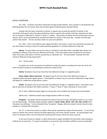#### Section 1 Substituting

Art. 2 Rev... A pitcher must pitch consecutive innings (except Liberty). Once a pitcher is removed from the pitching position for any reason, they may not pitch again during that game. (except Liberty).

A player who has been removed as a pitcher in a game may not play the position of catcher in the remainder of the game unless the player pitched less than or equal to the number of pitches requiring zero days rest as outlined in IHSA Rule 6., Section 5, Article 1.c. below. The position of catcher has the second-most overuse injuries, which can be exacerbated by moving from pitcher to catcher in the same day. A player may first play catcher then pitcher. This has not been shown to cause arm problems.

Art. 2 Rev... Prior to the defense team taking the field in any inning, a coach may substitute any player for any other player as long as it does not violate pitching regulations or minimum defensive inning rule.

Liberty. An extra batter may not be used as a substitute in the field unless only eight other players are available for defense at the end of an offensive half inning. If the extra batter leaves the game for any reason other than injury, their place in the line-up becomes an automatic out. The extra batter is exempt from the minimum defensive inning requirement.

Art 7. Sit Out Limits.

If a player sits out for any portion of a defensive inning, the player is considered to have sat out for the entire inning for purposes of calculating the maximum number of sits.

Liberty: No players may sit out more than four defensive innings in a regulation game.

Senior, Major, Minor and Junior: No players may sit out more than three defensive innings in a regulation game during the regular season. In the playoffs, no player may sit more than 4 defensive innings (Senior and Major) or 3 defensive innings (Minor, Junior).

Rookie: No players may sit out more than two defensive innings in a regulation game. Each player must play at least one (1) inning in the infield, at pitcher, 1<sup>st</sup> base, 2<sup>nd</sup> base, 3<sup>rd</sup> base, shortstop, or short center.

Art. 8. Once a defensive player begins an inning, they must complete the inning at the same position.

Liberty only: A defensive player may change positions within an inning.

Exception: Any player may be removed from play in event of an injury, disciplinary action or as a result of a pitching change. (Pitching change exception applies to Senior, Major, Minor, 14U, 12U, 10U, and 8U when the players are pitching.) To accommodate these "exception" changes, defensive players may be moved to new positions or removed from the game.

Art. 12. In case of any injury to a player, they may be replaced by a player from the bench. In case of any injury to a batter who cannot continue the plate appearance, the at-bat shall be vacated. An injured player may return to the game after a rest of at least the remaining half inning in which the injury occurred.

In the case of injury to a player, a coach should seek to apply immediate first aid and/or seek emergency medical care as necessary. If a parent or guardian is not present, they should be notified as soon as practicable.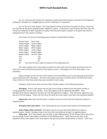Art. 13. Each team will maintain the maximum number of permanent players required for each league by utilizing the "Waiting List" of eligible players until the "Waiting List" is exhausted.

Art. 14. The Farm Team System - Farm Team players may be used only to the extent to ensure a team has ten (10) [nine (9) during the playoffs] players eligible for a game. In the event a coach foresees that their team will not have an adequate number of players for a game, they may add a player or players to the game day roster by utilizing the Farm Team System as follows:

Farm Teams are the next lowest age group of players and identified as follows:

| <b>Primary Team</b> | Farm Team                                                    |
|---------------------|--------------------------------------------------------------|
| Liberty League      | Senior League                                                |
| Senior League       | Major League                                                 |
| Major League        | Minor League                                                 |
| Minor League        | Junior League                                                |
| Junior League       | Rookie League                                                |
| Rookie League       | No Farm Team                                                 |
| 14U                 | 12U                                                          |
| 12U                 | 10U                                                          |
| 10U                 | 8U                                                           |
| 8U                  | Any other 8U team, subject to approval of the opposing coach |

The coach seeking a Farm Team player to perform on their team must first obtain permission from the Farm Team coach and then the permission of the player's parent. Participation of a Farm Team player is not mandatory.

Players brought up from the Farm Team system must be identified as such to the opposing coach and the umpire before the start of the game. The Farm Team player must wear an official uniform of either the Primary Team or the Farm Team from which they were recruited in order to play.

All players, both Primary Team and Farm Team, will play subject to the following limitations:

All leagues: A Farm Team player may not play more innings on defense than the fewest number of innings played by a Primary Team member. Farm Team players must be registered with WPPA. Only Spring/Summer Season registrants may play up in the Spring/Summer Leagues. Only Fall Season registrants may play up in the Fall Leagues. Teams may not call up the same farm team player more than once during the playoffs.

Liberty only: Other than the extra hitter, no players may sit out more than four defensive innings in a regulation game.

All leagues other than Liberty: Farm Team player(s) must occupy the last spot(s) in the batting order

Senior, Major, Minor and Junior: No players may sit out more than three defensive innings in a regulation game. Rookie: No players may sit out more than two defensive innings in a regulation game.

Senior only: Farm Team players may not pitch or play infield positions for the Primary Team unless there are not enough Primary Team players to field the six (6) infield positions. When there are less than six (6) available Primary Team players, Farm Team players may play any position except pitcher or catcher. Farm Team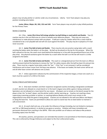players may not play pitcher or catcher under any circumstances. Liberty: Farm Team players may play any position including extra batter.

Junior, Minor, Major, 8U, 10U, 12U and 14U: Farm Team players may not pitch or play infield positions for the Primary Team.

#### Section 2 Coaching

Art. 3 Rev... Junior (first three full innings whether tee-ball hitting or coach-pitch) and Rookie: Two (2) coaches may be in the out-field area at a time to verbally assist defensive players. They may not cause any interference or make physical contact with any player. A ball put in play by a batter which hits a coach shall be considered to be a non-playable ball and will not count against the batter. The play may be re-played as if it had never occurred.

Art. 5. Junior (Tee-Ball at bats) and Rookie: There may be only one practice swing taken with a coach assisting the batter when the batter is at the plate. No ball can be placed on the tee for this purpose. When the ball is placed on the tee, the coach must stand behind the backstop or in line with the grandstand fence (out of the play area). Any physical assistance given the batter by a coach when the ball is on the tee will result in a strike assigned to the batter.

Art. 6. Junior (Tee-Ball at bats) and Rookie: The coach or a designated person from the team on offense shall be present behind the backstop to remove the "tee" for safety reasons after the ball has been hit and put into play. There must be a regular home plate under the "tee." If the "tee" is not removed, it will be considered interference and no base runner from 3rd base may advance. If the bases are loaded, the lead runner will be out and all other base runners will advance one (1) base.

Art. 7. Unless approved in advance by the commissioner of the respective league, at least one coach on a team must be a parent of a child on the team.

#### Section 3 Bench and Field Conduct

Art. 5. Only team members and their respective recognized coaches (including a designated scorekeeper or pitch counter) are allowed on a team bench or in the team's dugout area while a game is being conducted. Spectators are not allowed on a team bench for any reason. All players are to remain on the bench except for the player at bat, the "on deck" player, and the pitcher and/or catcher warming up. Coaches not coaching a base, supervising a warming-up batter or pitcher, or coaching defense (Rookie and Junior) must remain in the dugout/bench-area while the game is being played. Coaches are not allowed in the well area (Minor and Major) or along the base line. Teams are permitted to allow one coach to stand near the on-deck batter to maintain a safe environment.

Art. 6. (A coach shall not) use, or be under the influence of drugs (including, but not limited to marijuana and THC or CBD-based products) or alcohol at any game or practice. Violation will mean immediate and permanent dismissal from coaching in the WPPA. IHSA rules prohibit use of tobacco and tobacco-like products (including vapes) near the field.

All coaches, parents, and spectators are reminded that alcohol is not permitted on Park District property. This rule is enforced by Chicago Ordinance and subject to the City's enforcement policy.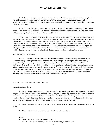Art. 7. A coach or player ejected for any reason will sit out the next game. If the same coach or player is ejected from a second game, in the same or any other WPPA league, within the same season, they will be suspended indefinitely and will be required to appear before a disciplinary committee made up of board members before reinstatement.

Art. 8. At the end of a game, each team must clean up its dugout area and leave the dugout area before the next team enters the dugout area. Coaches are reminded that they are responsible for cleaning up any litter left in the viewing stand area from the spectators watching their game.

Art. 9. Players are not permitted to chant, yell or scream (i) any derogatory or negative comments as to any player, coach, umpire or fan or (ii) for the purpose of distracting a member of the opposing team. If an umpire believes that this rule has been violated, they may first issue a warning to both teams. For subsequent violations within the same game, the offense will result in an out being charged to the offending team during their next at bat or, if the team is at bat, at the time of the offense. The out shall be charged to the team, and not impact the batting order of the team to whom the out was charged. For example, if the team at bat has 1 out when an additional out is charged, the team now has 2 outs, but the player at bat may continue their at bat.

### Section 4 Charged Conferences

Art 1 Rev…Each team, when on defense, may be granted not more than one charged conference per pitcher per inning. A charged conference is any conference including a non-playing team member (coach, assistant coach, etc.). Time granted for an obviously incapacitated player shall not constitute a charged conference. This total is not cumulative – that is, in the event a pitcher pitches without any charged conferences, subsequent pitchers cannot have more than one charged conference without penalty. After each pitcher change or inning change, the number of charged conferences resets and one is allowed before a change must be made. PENALTY: After the one allowed charged conference, a further conference must result in the removal of the current pitcher (as pitcher) and a replacement player at the pitcher position.

## IHSA RULE 4 STARTING AND ENDING GAME

#### Section 1 Starting a Game

Art. 1 Rev... Thirty minutes prior to the first game of the day, the league commissioner or will determine if the grounds and other conditions are suitable for starting the game. If the league commissioner is not available to make the decision, another disinterested board member must make the decision. If a game is cancelled before or after it begins as a result of darkness, inclement weather, or for any other reason, the field upon which the game was to be played may not be used for practices or for any other purpose by WPPA teams.

Art. 1 Rev… The home team is responsible for setting up all bases and always occupies the 3rd base side of the field.

Art. 2 Rev... If there are unusual conditions... (Welles Park Ground Rules)

Senior:

- Lost ball in backstop--Follow ISHA Rule 8-3-c&d.
- If a ball on the fly hits the foliage of a tree in fair territory, it is a home run.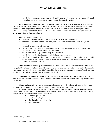If a ball hits or crosses the access road on a fly ball, the batter will be awarded a home run. If the ball rolls or bounces onto the access road, the runner will be awarded a triple.

Senior and Major: If a ball gets stuck in the space behind the Welles Park Senior Field backstop padding, it is a dead ball and we will enforce it as follows: On a pitched ball that lodges behind the backstop, baserunners runners on 1st or 2nd get a base, not the 3rd baserunner. A thrown ball (from outfield or infield) that lodges behind the backstop is a dead ball. A runner half way to the next base shall be awarded the base; otherwise, a runner must return to their original base.

Major (Welles Park Ground Rules):

- If the field does not have a home run fence, any ball is playable off of the wall.
- If the field does not have a home run fence, and a ball goes into the stairwell untouched, it is a double.
- **•** If the ball has been touched, it is a triple.
- If a ball on the fly hits the tree in fair territory, it is a double; if a ball on the fly hits the tree in fair territory and carries over the fence, it is a home run.
- If a ball is hit onto the top of the building, it is a home run.
- If a ball hits on or directly above the smaller building it is a home run.
- If the field does not have a home run fence, and a ball hits or goes under the bleachers in center field it shall be ruled a dead ball and the batter/runners will be awarded two bases from the last base occupied at the time of the call.

Home run fences: For all leagues, in any situation where a temporary or permanent home run fence is in place, a ball traveling over the fence (even if it hits/touches the fence or a player) without first hitting the ground is a home run; a ball bouncing on the ground before reaching the fence, and then traveling over the fence is a ground rule double; a ball rolling under the fence is a ground rule double.

Legion Park and Winnemac Corner: If a ball is hit on a fly over the bike path, it is a homerun; if a ball lands before the bike path but carries past the bike path, the batter shall be awarded the base They are running to plus one base.

Winnemac 4 and 5: If a ball hits or crosses the bike path on a fly ball the batter will be awarded a home run. If the ball rolls or bounces on to the bike path, the runner will be awarded a triple

Art. 3 Rev... Before each game, the head coach from each team must identify themselves to the umpire. Before game time, each head coach must provide the opposing head coach with their line up, including the names of all players in attendance and their status, as follows:

- a. Able and eligible to play.
- b. Injured unable to play.
- c. Being disciplined and will not play.
- d. Farm Team player.

Section 2 Ending a Game

Art. 1 Rev... A regulation game consists of: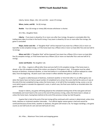Liberty, Senior, Major, 14U, 12U and 10U: seven (7) innings.

Minor, Junior, and 8U: Six (6) innings.

Rookie: Four (4) innings or ninety (90) minutes whichever is shorter.

Art 2 Rev…Slaughter Rules

Liberty: If any team is ahead by 15 or more runs after four innings, the game is concluded after the trailing team takes its at-bat in the fourth inning. If any team is ahead by 10 runs or more after five innings, the game is concluded

Major, Senior and 14U: A "Slaughter Rule" will be imposed if any team has a fifteen (15) or more run lead after six (6) complete innings, or if the home team has a fifteen (15) or more run lead after five and one half (5 ½) innings.

Minor and 12U: A "Slaughter Rule" will be imposed if any team has a fifteen (15) or more run lead after five (5) complete innings, or if the home team has a fifteen (15) or more run lead after four and one half (4 ½) innings.

#### Junior and Rookie: No slaughter rule.

Art. 3 Rev... A game is official after three and one-half (3 1/2) complete innings, if the home team is ahead, or four (4) complete innings if the visitors are ahead or if the game is tied. If the game must be called because of darkness, inclement weather, or time limit before it is considered official, it will be replayed at a later date, from the beginning. All pitch count rules remain in effect whether the game is official or not.

If a game is called because of darkness, inclement weather or time limit after it is an official game, but when the teams have not had an equal number of completed turns at bat, the score shall be the same as it was at the end of the last completed inning; unless the home team, in its half of the incomplete inning, scores a run (or runs) which equals or exceeds the opponent's score, in which case, the final score shall be as recorded when the game is called.

Except in Liberty, any game still being played at the scheduled starting time of the next game will end immediately and revert back to the score at the end of the previous inning, unless the home team is ahead, or unless the home team, having been behind at the end of the previous inning, has tied the game.

A game that is tied at the end of the last inning will be continued until a winner is determined, unless time limits, darkness or inclement weather intercedes. If an official regular season game is tied and cannot be continued because of time limits, weather or darkness, the game will remain a tie. For league standings, a tie game counts as one half  $(1/2)$  of a win and one half  $(1/2)$  of a loss.

Art. 4 Rev…. Maximum Time Limits and stopping games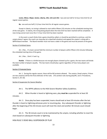Junior, Minor, Major, Senior, Liberty, 10U, 12U and 14U: two and one half (2 ½) hour time limit for all regular season games.

**8u:** one and one half  $(1 \frac{1}{2})$  hour time limit for all regular season games.

Except in Liberty, no inning is allowed to start within fifteen (15) minutes on the scheduled starting time of the next game. In Liberty, the inning being played when the time limit has been reached will be completed. A new inning cannot start once the 2 ½ hour time limit has been reached.

In the event a coach thinks that a game should be called, or should be permitted to continue, and the umpire doesn't agree, the coach can stop play (at a dead ball situation) and appeal the umpire's ruling with a WPPA Board member. The Board member must not have a stake in the game and must be present at the game.

#### Section 4 Forfeited Game

Art. 1 Rev... If a team cannot field the minimum number of players within fifteen (15) minutes following the scheduled starting time of the game.

Art. 1 Rev... Omit 1-f and 1-g.

Rookie: If there is a forfeit because not enough players showed up for a game, the two teams will divide the total number of players equally. The two teams should play a game regardless of how many players are available.

#### Section 5 Protested Game

Art. 1. During the regular season, there will be NO protests allowed. The umpire, (head umpire, if there are two umpires) will be the final arbitrator of the rules. (For protest rules during playoffs, see D. Procedures, Section 5, Art 10).

## Section 6 Suspension for Severe Weather

Art 1. The WPPA adheres to the IHSA Severe Weather Safety Guidelines.

Art 2. When thunder is heard or lightning seen, play must be suspended for at least 30 minutes.

 Art. 3. Once play has been suspended, teams should wait at least 30 minutes after the last thunder is heard or lightning witnesses prior to resuming play. Any subsequent thunder or lightning after the beginning of the 30-minute count will reset the clock and another 30-minute count should begin.

 Art. 4. The 30-minute count is to be maintained by the umpire, including whether to reset the clock based on subsequent thunder or lightning.

## IHSA RULE 5 DEAD BALL-SUSPENSION OF PLAY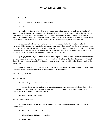#### Section 1 Dead Ball

Art 1 Rev... Ball becomes dead immediately when:

m. Omit.

o. Junior and Rookie: …the ball is: (a) in the possession of the pitcher with both feet in the pitcher's circle, or (b) on the batting tee. A runner that is beyond a half-way mark may proceed safely to the next base, if unoccupied. (c) When in the umpire's opinion, an infielder controls the ball and the runners have stopped advancing, the umpire must call time to stop the play. The player with the ball should demonstrate some control of the situation. For example, if the player with the ball has their back to play DO NOT call time out.

p. Junior and Rookie: …there are fewer than three bases occupied at the time that the ball is put into play, and a fielder receives the active ball and stands on home plate. If there are fewer than two outs, and a base runner has reached the half way mark between 3<sup>rd</sup> base and home, the base runner can score safely. If the fielder does not stand on home plate, but attempts to tag the base runner coming from 3<sup>rd</sup> base, the play and all base runners remain active until the ball is otherwise ruled dead by the umpire.

q. Major, Minor, 12U, 10U, and 8U: When in the umpire's opinion, an infielder controls the ball and the runners have stopped advancing, the umpire can and should call time to stop the play. The player with the ball should demonstrate some control of the situation. For example, if the player with the ball has their back to play DO NOT call time out.

Junior and Rookie: After the ball is dead, it must be returned to the pitcher on the mound. The umpire will call for the ball, which has to be sent to the catcher for placing on the tee.

## IHSA RULE 6 PITCHING

#### Section 1 Pitching

Art. 1 Rev... Major and Minor: Omit article.

Art. 2 Rev... Liberty, Senior, Major, Minor, 8U, 10U, 12U and 14U: The pitcher shall start their pitching motion with at least one foot in contact with the pitching rubber. One foot must remain in contact with the pitching rubber at all times until the ball is released.

Art. 3 Rev... Minor: Omit article.

#### Section 2 Infractions by Pitcher

Art. 1 Rev... Major, 8U, 10U, and 12U, and Minor: Umpires shall enforce these infractions only in extreme cases.

Art. 2 Rev... Major and Minor: Omit article.

Art. 3 Rev… Major and Minor: Omit article.

Art. 4 Rev…Balks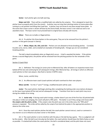Senior: Each pitcher gets one balk warning.

Major and 12U: There will be a modified balk rule called by the umpires. This is designed to teach the pitcher how to properly pitch from the stretch. A pitcher may not stop their pitching motion to home plate after coming to a set position and lifting their lead foot. A pitcher may not throw to any base except home plate. In the event that a base runner is drawn off base by this kind of balk, the base runner is not ruled out and is not awarded a base. The base runner must proceed back to original base and play will resume.

Minor: There are no balks or illegal pitches.

Art. 6. If a pitcher hits three batters in the same game, They are to be removed from the pitcher's position in that game (except in Liberty).

Art. 7. Minor, Major, 8U, 10U, and 12U: Pitchers are not allowed to throw breaking pitches. Curveball, knuckle curve, slurve, slider, and screwball are examples of breaking balls. Change-ups are not considered breaking pitches.

The ball is dead immediately when an illegal pitch occurs. A ball is awarded the batter. If the pitcher throws a second illegal pitch, the pitcher will be removed from the pitching position for the remainder of the game.

#### Section 3 Coach Pitch

Art. 1. Definition: The innings (in Junior prior to Memorial Day: after all batters on respective teams have batted off the tee and continuing for all subsequent innings; after Memorial Day: all innings in which an offensive coach pitches to their own players. (See Rule 6, Section 4 WPPA rules).

Minor, Junior, and 8U Only:

Art. 2. An offensive team coach (coach-pitcher) will pitch overhand to their own players.

Minor and 8U: For the  $1^{st}$  and  $2^{nd}$  innings, modified kid pitch will be used.

Junior: The coach pitcher shall begin pitching after completing the batting order once (where all players on the team have batted off the tee) and all subsequent innings. Transition from tee to coach pitch may occur during the middle of an inning.

Art. 3. Junior only: If during coach pitch innings, a batter doesn't put one of the first four (4) pitched balls into play or strike out swinging, the coach will pitch a fifth pitch. The batter is out if they swings and misses or if the umpire calls the pitch a strike. If the umpire rules the pitch was not in the strike zone, the "fifth pitch" process is repeated. The strike will be called by the umpire from behind the plate in the appropriate position to observe the strike zone.

Art 4. Once the coach-pitcher pitches the ball, the coach-pitcher cannot instruct, coach or comment in any manner so as to influence any base runner or the batter.

Art. 5. The coach-pitcher is not to interfere with the play or the ball during a game. This is a judgment call by the umpire. After the ball is put into play by the batter, the coach-pitcher should leave the field of play as soon as possible. If a batted ball strikes the coach-pitcher, the ball is considered dead, and the pitch does not count.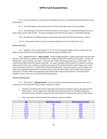Art. 6. If the coach-pitcher is ruled to have interfered with a play, it should be treated as interference with penalty given.

Art. 7. The coach-pitcher must keep one foot on the pitching rubber while They are pitching.

Art. 8. The exchange of the ball from the coach-pitcher to the catcher is a dead ball exchange unless the batter makes contact with the ball. The return exchange of the ball from the catcher is a dead ball exchange.

Art. 9. On defense, the defensive pitcher must be positioned within five feet of the pitcher's rubber.

Art. 10. If the catcher catches a foul tip on what would be the third strike, the batter is out.

#### Section 4 Kid Pitch

Art. 1. Definition: The innings (in Minor 3<sup>rd</sup>, 4<sup>th</sup>, 5<sup>th</sup>, 6<sup>th</sup> and all extra innings) in which a player from the defensive team pitches to the opposing batters. (See Rule 6, Section 4 WPPA rules)

Art 2. Modified Kid Pitch: Minor and 8U: During modified kid pitch, all plate appearances will start with kid pitch. After ball four is pitched by the kid pitcher, no base on balls will be awarded to the batter. Instead, the hitting team's coach will come in to pitch. The coach will "inherit" the existing strike count on the batter. The umpire will call balls and strikes during coach pitch. The coach shall pitch until the earlier of 3 pitches or until the batter puts the ball in play or strikes out. Batters must swing at the third coach pitch and the failure to do so will result in the batter being out. If a batter fouls off the third coach pitch, the at bat continues, but the batter must swing at all subsequent coach pitches until they strike out, put the ball in play, or fail to make contact with the coach pitch. All other WPPA rules governing coach pitchers will continue to be observed. The batter will be awarded 1<sup>st</sup> base in the event of a hit-batsman during kid pitch.

#### Section 5 Pitching Limits

Art. 1. Pitch Counts: (Spring/summer) This rule replaces all other pitching restrictions, there are no restrictions on the number of innings a pitcher may pitch in a game.

a. The pitch count limits and recovery days below are based on the player's age on opening day of the WPPA season. Even if a player has a birthday that would move them into a different age group during the season, the player's age at the start of the season controls for the duration of the season.

| <b>Age</b>  | <b>Max Pitches Per Day</b> | <b>Max Pitches Per Season</b> |
|-------------|----------------------------|-------------------------------|
| <u>7-8</u>  | 50                         | 1000                          |
| $9 - 10$    | 75                         | 1000                          |
| $11 - 12$   | 85                         | 1000                          |
| $13 - 14$   | 95                         | 1000                          |
| $15 - 16$   | 95                         | 1300                          |
| $17 - 18$   | 105                        | 1400                          |
| <u> 19+</u> | 120                        | 1500                          |

b. Pitch count limits include travel and house pitches, and are as follows: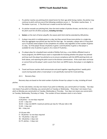- c. If a pitcher reaches any pitching limit stated herein for their age while facing a batter, the pitcher may continue to pitch until any one of the following conditions occurs: 1. The batter reaches base; 2. The batter is put out; 3. The third out is made to end the half-inning.
- d. If a pitcher exceeds any pitching limit, then the total number of pitches thrown, not the limit, is used for pitch count for all other purposes, including rest days.
- e. Seniors: at the start of Senior playoffs, the season pitch limit shall be extended by 200 pitches.
- f. A player may pitch in multiple games in a day, but they cannot throw more pitches in a single day than the aggregate max pitches per day limit for their age. For example, a player who is 9 may pitch up to 75 pitches total (subject to the completion of a batter rule) regardless of the number of games in a day. So if the player throws 10 pitches in game 1 and 50 pitches in game 2, that player is available for only 15 pitches in game 3, for a total of 75 pitches. .
- g. If a player plays for a baseball team outside of Welles Park (e.g., a non-Welles affiliated travel or house program), the WPPA house coach is responsible for knowing whether the player has pitched and how much the player has pitched so as to ensure compliance with the WPPA pitching limits set forth above, and reporting the pitch count to the division commissioner. If the coach does not know or cannot find out the player's pitch counts from their non-WPPA teams, that player is not eligible to pitch.
- h. Travel and house coaches shall communicate and work together regarding pitchers' weekly pitch counts during weeks when a travel player is not specifically reserved for travel pitching.
- Art 2. Recovery Days

Recovery days are based on the total number of pitches thrown by a player in a day, including all travel pitches.

For the rules below, one day rest means if you pitch on Monday, you cannot pitch on Tuesday. Two days rest means if you pitch on Monday, you cannot pitch on Tuesday or Wednesday. Three days' rest means if you pitch on Monday you cannot pitch on Tuesday, Wednesday or Thursday. Four days rest means you cannot pitch on Tuesday, Wednesday, Thursday or Friday. The number of hours between starts is not a factor.

7-14 year olds: 0-20 piches – no rest days required  $21-35 - 1$  day rest 36-50 – 2 day rest [NOTE: maximum pitches per day for 7/8 year olds is 50] 51-65 – 3 day rest 66+ - 4 day rest

15-16 year olds: 0 – 30 pitches- no rest days required 31 – 45 pitches- 1 day rest 46 – 60 pitches- 2 days rest 61-75 pitches – 3 days rest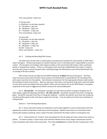76 or more pitches- 4 days rest

17-18 year olds: 0 –30 pitches- no rest days required 31 – 45 pitches- 1 day rest 46 – 60 pitches- 2 days rest 61 – 75 pitches – 3 days rest 76 or more pitches- 4 days rest

19+ year olds: 0 –30 pitches- no rest days required 31 – 45 pitches- 1 day rest 46 – 60 pitches- 2 days rest 61 – 80 pitches – 3 days rest 81-105 - 4 days rest 106 or more pitches – 5 days rest

Art. 3. Tracking and Recording Pitch Counts

The head coach of each team in a given game must keep track of pitches for every pitcher on both teams used in the game. The job may be given to a parent volunteer, but it is the head coach's responsibility to ensure it is done. The two pitch-count keepers will compare numbers at the end of each half inning or when a particular pitcher is removed from a game. If there is a discrepancy that cannot be rectified before the umpire is ready to start the next inning or resume the game after a pitching change, the official pitch count will be determined to be an average of the two numbers.

Pitch counts must be recorded into the WPPA website by 11:59pm the day of each game. The Head Coach can have a proxy enter the pitch counts, however, the Head Coach is responsible for the recording of the pitch counts and entry into the website. Each Division Commissioner for their appropriate Divisions shall monitor the timeliness of pitch count entries. After one warning, in the event a Commissioner finds that a coach has failed to enter pitch counts according to the time stated in these rules and reports this to the WPPA Board, a one-game suspension of the coach is triggered and shall be served at the next possible game.

Art. 3. 12U and 10U: For each game, one player on each team can pitch 3 innings in the game, for all other players, apply the following restrictions: 8U, 10U, and 12U: No pitcher may pitch more than 2 innings per game. No pitcher may pitch more than 3 innings per weekend. A pitcher who pitches more than one inning may not pitch another game on the same day or a game the next day. From one pitch up to three outs constitutes an inning pitched.

Section 6. Travel Pitching Reservations

Art. 1. House and travel coaches are expected to work closely together to ensure travel players have the opportunity to pitch and develop in both house and travel games. Neither house teams nor travel teams have priority with respect to pitching, unless a player has been reserved for the week to pitch in travel games only.

Art. 2. Travel coaches can "reserve" each travel player for two (2) weeks per house season to be used as a pitcher. To reserve a player, a travel coach must email the relevant house coach, league commissioner and the travel coordinator with notice of the reservation. This notice must be given no later than the Tuesday prior to the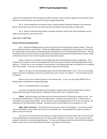weekend of the game(s) for which the player would be reserved. Unless otherwise agreed, the reservation will be effective for the entire pitch count week (Thursday through Wednesday).

Art. 3. Unless exceptional circumstances exist, as determined by the Board President or the Executive Board, a house team may not have more than two (2) travel players reserved during any single week.

Art. 4. House or travel pitching conflicts or disputes should be raised to the travel coordinator and the league commissioner as soon as they arise.

## IHSA RULE 7 BATTING

## Section 1 Position and Batting Order

Art 3. All able and eligible players must be in the lineup for the entire game except in Liberty. There can be no substitute batters or pinch hitters. All able and eligible players, including Farm Team players, will constitute the "batting order" and all players will bat during the entire game in the order established by the lineup. The only exception to this rule exists if a player is temporarily or permanently removed from the game due to injury, illness, or disciplinary action or has to leave the game early for personal reasons.

Option 1 Line-up is nine batters in the batting order with remaining players listed as substitutes. Each substitute must replace a starter in the batting order for at least three consecutive full innings (both offense and defense). A starter can re-enter the game in same position in the batting order after the substitute has completed their three innings. In any case, the starter must play at least three full innings.

Option 2 Line-up is the nine (9) position players plus the extra batter (Rule 3, Sec 1, Art 4); any remaining players are listed as substitutes and must be substituted in same manner as in Option 1. The extra batter cannot be replaced.

Option 3 Line-up is to include all players in the batting order. In this case, the regular WPPA rules on batting orders and defensive innings played apply.

There is no designated hitter in any league.

Any player arriving after the beginning of the game is added to the end of the batting order, except in Liberty where the player may be listed as a substitute, and the other team is notified of same.

Liberty: Before the game each head coach must determine which of three line-up options to use. See the options described above. If there are only eight players, no penalty out must be taken. In Liberty only, an extra batter is an optional tenth batter. The extra batter must be designated at the time of line up exchange. No substitution for the extra batter is allowed. No player may be an extra batter for two (2) games in a row.

Major, Minor and Junior: Each team's line up must have at least nine (9) batters. If a lineup has fewer than nine (9) batters, every number less nine (9) is an automatic out. During playoffs the minimum number of batters is the same nine (9).

This rule may not be waived by the coaches or umpire unless each team has fewer than nine (9) [nine (9) in the playoffs] batters and both teams have the same number of batters in the lineup. Once the rule has been waived, it cannot be re-instated during that game. If a team starts the game with nine (9) [nine (9) in the playoffs] batters and for some reason falls below that number, no penalty will be assessed.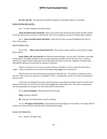8U, 10U, and 12U: No automatic outs will be charged for a shortage of players in the lineup.

#### Section 2 Strikes, Balls and Hits

Art 1. A strike is charged to the batter when:

Junior (Tee-Ball at bats) and Rookie: There is any contact with the ball by the bat after the ball is placed on the tee, which does not result in a fairly hit ball. There are no strikeouts in Junior (Tee-Ball at bats) or Rookie.

Art. 4. Junior (Tee-Ball at bats) and Rookie: A ball is foul if it does not pass the diagonal line that is in front of home plate.

#### Section 4 Batter is Out:

Art. 1b. Rev.... Minor, Junior (Coach Pitch), 8U: A third strike is called, whether or not the ball is caught by the catcher.

Senior, Major, 14U, 12U, and 10U: the IHSA third strike will apply. The rule reads "The batter is out when a third strike is not caught, provided a runner occupies first base and there are less than two outs. A runner is deemed to occupy first base if they were on first base before the pitch was thrown, regardless of whether they attempted to advance to second base by stealing or otherwise."

If there are two outs or if no runner occupies first base, the batter is not out, unless the third strike is caught. They are entitled to try to reach first base before being tagged out or thrown out.

With less than two outs and first base unoccupied or with two outs: The runners can advance at their own risk. Base runners can advance on a dropped  $3^{rd}$  strike – including base runners on  $3^{rd}$  base may attempt to advance home.

In the event of a dropped third strike, the first baseman is permitted to position himself or herself in foul territory and receive a throw from the catcher while tagging the orange safety base. The runner, consequently, will not be penalized for running to the inner white base to avoid contact.

Art 1j. Junior and Rookie: if they attempt to bunt the ball.

Minor: bunting is allowed.

8U: bunting is not allowed when a coach is pitching.

Art. 1k. All Leagues except Liberty: Fake bunting and then swinging is not permitted. The umpire will call a batter out if they show bunt, and then pulls the bat back and swings.

## Section 5 10<sup>th</sup> Batter Rule

Art. 1. Rookie: 10<sup>th</sup> Batter Rule: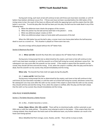During each inning, each team at bat will continue to bat until three outs have been recorded, or until 10 batters have batted, whichever occurs first. If three outs have not been recorded before the 10th batter of the inning comes to bat, the coach of the team on offense will notify the opposing team and the umpire that the 10th batter is up to bat. To end the play after the ball has been put into play, the ball must be made dead in any of the following ways:

- a. When the defensive team checks the progress of the runners.
- b. When the pitcher has the ball and has both feet in the pitcher's circle;
- c. When any defensive player creates an OUT;
- d. When any defensive player steps on home plate with possession of the ball.

When the 10th batter has put the ball in play, a runner must cross home plate before the ball becomes dead to count as a scored run. This situation is played as if there were two outs.

Any extra innings will be played without the  $10<sup>th</sup>$  Batter Rule.

#### Section 6 Maximum Run Rule

## Art. 1. Minor and 10U: Seventh Run Rule (this rule replaces the 10<sup>th</sup> Batter Rule in Minor)

During every inning except the last as determined by the umpire, each team at bat will continue to bat until 3 outs have been recorded, or until the seventh run of that half inning has scored, whichever comes first. No subsequent runs may score after the seventh run has scored. If the umpire is aware that the seventh run has scored, they should call time and end the inning. If not, when the umpire is notified, after the play and the ball is dead, that the seventh run has scored, they should immediately end the inning.

Minor only: The Seventh Run Rule shall not apply during the playoffs.

#### Art. 2. Junior and 8U: Sixth Run Rule

During every inning except the last as determined by the umpire, each team at bat will continue to bat until three (3) outs have been recorded, or until the sixth run of that half inning has scored, whichever comes first. No subsequent runs may score after the sixth run has scored. If the umpire is aware that the sixth run has scored, they should call time and end the inning. If not, when the umpire is notified, after the play and the ball is dead, that the sixth run has scored, they should immediately end the inning.

## IHSA RULE 8 BASERUNNING

#### Section 1 The Batter Becomes a Batter-Runner

Art. 1c Rev... A batter becomes a runner…

Senior, Major, Minor, 12U, 10U, and 8U: There will be no intentional walks, neither automatic as per IHSA rules or with four wide pitches. The pitcher must attempt to pitch to the batter. If the umpire feels this rule is being violated, they should warn the head coach of the defensive team, any further violation can result in the head coach being ejected.

Minor (Modified Kid Pitch innings), Junior, Rookie, and 8U: There will be no base on balls.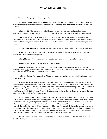#### Section 2 Touching, Occupying and Returning to a Base

Art. 5 Rev... Major, Minor, Junior, Rookie, 14U, 12U, 10U, and 8U: The umpire, at the end of play, will call all observed infractions of this rule without appeal by a coach or player. Senior and Liberty will observe the IHSA rule.

Minor and 8U: The exchange of the ball from the catcher to the pitcher is a live ball exchange. However, a runner on third may not score in this situation and a runner from first or second must stop at third.

10U: Base runners may attempt to score in this situation unless at the start of the play there are baserunners at 1<sup>st</sup> base and at 3<sup>rd</sup> base. When the play starts with base runners on 1<sup>st</sup> base and 3<sup>rd</sup> base, the base runner on 1<sup>st</sup> base may attempt to steal 2<sup>nd</sup> base, however, the base runner on 3<sup>rd</sup> base may not attempt to steal home.

Art. 10. Major, Minor, 12U, 10U, and 8U: Base stealing will be allowed within the following guidelines.

Major and 12U: A base runner may not leave a base before the pitcher, while in the act of pitching, releases the ball from their pitching hand.

Minor, 10U and 8U: A base runner may leave the base when the ball crosses home plate.

Minor: A batter may not advance past first base on a walk.

Minor: A base runner may not attempt to steal during the exchange between catcher and pitcher following a pitch unless the exchange is not completed (e.g., because of an overthrow), in which case it is a live ball and base runners may attempt to advance at their own risk.

Junior and Rookie: No base stealing. A base runner may not lead off, and can only leave the base once the ball has been hit.

In Major and Minor, prior to Memorial Day, in 8U, 10U, and 12U, prior to the second weekend, the first time a base runner leaves the base early, they will be warned. This will be a "Team Warning." The next time this base runner or any other base runner from that team leaves the base early, the offending runner will be called out. (The "Team Warning" is considered the first warning for all members of that team.) In Major and Minor, on or after Memorial Day, in 12U, 10U, and 8U, on or after the second weekend, the first time a runner leaves the base early, they will be called "out" without warning.

Art. 11. Minor, and 8U: A base runner may not steal home. Once on third base a runner must either be hit in, forced in via a bases loaded walk, or hit by pitch. The base runner cannot advance home from third base on a wild pitch, passed ball, or straight steal. The runner on third base can also advance home from third base if the ball goes out of play and a dead ball is called as the runner would be entitled to any base(s) resulting from the dead ball. Otherwise there is a "wall" on the runner on third base. For example, if the catcher plays on the runner trying to steal second and the ball is thrown away the runner must remain at third base since they were not played on. A base runner who attempts to steal home, even mistakenly, must attempt to return to third base without being tagged out, but if the base runner crosses home plate, they will be called out.

Art. 12. Junior: a baserunner may advance only one base on an infield hit. The determination of an "infield hit" will be left to the umpire's discretion.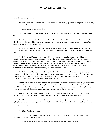#### Section 3 Baserunning Awards

Art. 1 Rev…a catcher should not intentionally obstruct home plate (e.g., stand on the plate with both feet) when a runner is attempt to score.

Art. 3 Rev… Each Runner is awarded:

Four Bases (home) if a defensive player's mitt and/or a cap is thrown at a fair ball (except in Senior and Liberty).

Art. 5 Rev... Junior and Rookie: On each batted ball where the first throw by an infielder results in the ball going out of play behind 1st base--award one base to batter and runners from base occupied at start of play, i.e. batter occupied home, gets 1st base.

Art. 7. Junior (Tee-Ball at bats) and Rookie: Half-Way Rule: After the umpire calls a "Dead Ball," a runner is given a base if they have advanced halfway or more; otherwise, the runner must return to the previous base.

Art. 8. Junior and Rookie: Intentional rolling or bouncing of the ball on the playing field between defensive players during active plays is not permitted. All ball exchanges among defensive players must be airborne (overhand, or underhand for a short throw). If intentional rolling of the ball is observed by the umpire, they shall give a warning to all players and coaches regardless of which team incurred the rule infraction. On subsequent infractions, the umpire may call a base runner safe at a base if they determine that a player intentionally rolled or bounced a ball on the playing field during active plays.

Art. 9. Junior and Rookie: The pitcher fielding the ball must make an attempt to complete an airborne exchange of the ball with another defensive player to make a force out or put out at any base. If the pitcher chases the batter/runner down between home and 1st base instead of throwing the fielded ball to the 1<sup>st</sup> baseman, the runner will be ruled "safe" even if the tag is made by the pitcher.

Junior: The catcher must make defensive plays at home unless there is some extraordinary circumstance not related to the catcher's relative skill level, for example, the catcher is injured and cannot/could not continue to play. Otherwise, if another defensive player makes a(n otherwise) successful defensive play at home, the wouldbe out is negated and if the runner would have safely reached home, the run counts.

Rookie: If a pitcher fields a ground ball and runs to home plate or any base for a force out instead of making an airborne exchange, then the runner will be safe even if the force is made by the pitcher.

Art. 10. Junior: In a force situation (but not a non-force situation) if an overthrow to third base goes out of play, the baserunner advancing to third base shall remain at third base and shall not be awarded home plate.

### Section 4 Runner is Out

Art. 1 Rev…The Batter--Runner is out when

j. Rookie, Junior, , 10U, and 8U: no infield fly rule. 2022 NOTE: this rule has been modified so that there is an infield fly rule in Minor.

l. Their helmet is deliberately removed before time has been called by the umpire.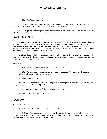Art. 2 Rev…The Runner is out when

t. A baserunner slides head first while advancing bases. A player may only slide head first when returning to a base previously occupied. (This rule does not apply in Liberty).

u. All players attempting to score must do their best to avoid a collision with the catcher. A player failing to do so shall be called out at the discretion of the umpire.

## IHSA RULE 10 UMPIRING

Umpires are selected, trained, scheduled and compensated by the WPPA. Eligibility is determined by the WPPA Board of Directors and managed by the Umpire Coordinator. No umpire outside of the WPPA organization is authorized to participate in the program unless authorized by the board. Any coach or parent who has a complaint about the manner in which any umpire conducts himself or herself in sanctioned games is to submit that complaint to the Commissioner of the Division in writing.

Umpires will be provided for the games whenever possible. However, if an umpire is not provided, each team may provide a coach volunteer to umpire. They may umpire in tandem throughout the game (plate/field) or umpire alone for two (2) innings each.

## Speed-up Rules

Courtesy Runners: Senior, Major, Minor, 14U, 12U, 10U, and 8U:

Art. 1 Rev… When there are two outs, a courtesy runner must be used for the catcher. The courtesy runner shall be the player that made the last batted out.

Art. 2 through Art. 4… Omit.

Art. 5 Rev... If a Rookie League player must temporarily leave the game after reaching the base, they will be replaced as a runner by the last out (e.g. the runner forced at second).

Art. 1-3... May be used at umpire's discretion to speed up a game.

After Putouts Art. 1-3… Omit for all leagues.

## **PROCEDURES**

#### Section 1 WPPA Board

Art. 1. The WPPA Board of Directors will meet the first Thursday of every month.

Art. 2. Board officers must attend the monthly board meetings. If a board member misses three meetings within a year, the board member may receive written notice from the board that they has been relieved from duty and their position will be filled by appointment.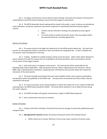Art. 3. If a league commissioner cannot attend a board meeting, it becomes the assistant commissioner's responsibility to attend the board meeting to ensure that every league is represented.

Art. 4. The WPPA November board meeting will be closed to the public, in part, to discuss any disciplinary action (demotion, temporary suspension, permanent suspension or reprimands) deemed necessary against coaches.

- 1. Coaches may be informed in writing of any disciplinary action against them.
- 2. If a coach wishes to protest the board's action, they may appear before the executive board at a mutually-agreed time.

## Section 2 Pre-Season

Art. 1. Pre-season practice may begin four weeks prior to the official practice-game day. No coach may practice or encourage their players to practice on their own before this designated day. A team is allowed one, non-practice, team meeting prior to this day.

Art. 2. Trading: Deadline for trading of players will be set by the board. Other trades will be allowed if a parent requests the trade for reasons that are acceptable to the board president, both vice-presidents and the commissioner of the league involved.

Art. 3. Each head coach is to appoint a team parent. This team parent will be responsible for the following duties (where applicable): Help during team pictures, help in organizing the year-end picnic, help at BSDK, help in distributing any newsletters, organizing team refreshments and any other duties that require the interaction of the team parents.

Art. 4. The board strongly recommends that each coach establish written rules to govern participation and discipline within the guidelines of the WPPA rules. The board also recommends that these written rules be submitted to the board.

Art. 5. If a coach encounters serious family problems or illness that makes him or her unable to fulfill their coaching duties, the WPPA board should be notified. The board will do whatever it can to help the team during the coach's absence.

Art. 6. The WPPA President will appoint commissioners subject to WPPA Board approval.

Art. 7. Each commissioner may have an assistant.

#### Section 3 Practices

Art. 1. Coaches shall inform all players of practice times and any changes to previously published practice and game times.

Art. 2. (Spring/Summer Season) Number of practices during each week of the baseball season:

a. While schools are in session: Minimum of one (1) per week, maximum of two per week.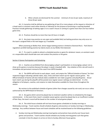b. When schools are dismissed for the summer: minimum of one (1) per week, maximum of three (3) per week.

Art. 3. A practice shall be defined as any gathering of two (2) or more players at the request or direction of a head coach or assistant coach either directly or indirectly for the purpose of practicing or coaching baseball. Practices include gatherings at batting cages or at a coach's house or coming to a game more than one hour before game time.

Art. 4. Practices should be no more than two (2) hours in length.

Art. 5. Any team may practice on any open and available field, but batting practices may only occur on the team's assigned field or the next league up, if available.

When practicing at Welles Park, Senior league batting practice is limited to Diamond No.6. Park District regulations prohibit batting practice by Liberty teams at any Welles Park diamond.

Art. 7. If a coach is unable to attend a scheduled practice or game for whatever reason, an assistant coach or a responsible adult should take over and conduct the practice or the game.

### Section 4 Games-Participation and Scheduling

Art. 1. Coaches are prohibited from discouraging a player's participation or encouraging a player not to show up for games or practices because the player is weak in baseball skills. Any violation of this rule will result in immediate and permanent removal of the coach from WPPA baseball.

Art. 2. The WPPA will furnish to each player, coach, and umpire the "Official Schedule of Games" for their respective league indicating calendar dates, days, times and team match-ups for regular season games. The Official Schedule of Games will also indicate dates available for rain make-up games and playoff games. Actual team match-ups during the playoffs will be posted once regular season rankings are determined. It is the obligation of all players, coaches, and umpires to make themselves available for these times throughout the season.

No revision to the published schedule of games (other than changes caused by rain-outs) can occur unless authorized by the WPPA Board of Directors.

Art. 3. Any game which cannot be played due to inclement weather will be re-scheduled by the league commissioner. In the event that a team's complete season games cannot be played due to an insufficient number of Rain Days, the team's record will be based on the number of actual games played.

Art. 4. The initial house schedule will not have house games scheduled on Sunday mornings or Wednesday evenings. Travel coaches should schedule all games and practices on Sunday mornings or Wednesday evenings. Any conflicts between house and travel schedules will be resolved based on the following guidelines:

 Sunday morning and Wednesday evening travel games and practices have priority over house team games and practices. Travel coaches should schedule any Sunday morning games such that games conclude in time for players to arrive on time to Sunday afternoon house games.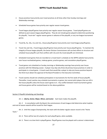- House practices have priority over travel practices at all times other than Sunday mornings and Wednesday evenings.
- Scheduled house games have priority over regular season travel games.
- Travel league playoff games have priority over regular season house games. Travel playoff games are defined as post-season league playoff games. They do not include games played to determine positioning for playoffs, "must-win" regular season games in advance of the playoffs, or any non-league tournament games.
- Travel 8u, 9u, 10u, 11u and 12u…House playoff games have priority over travel league playoff games.
- Travel 13u and 14u…Travel league playoff games have priority over house playoff games. To maintain the integrity of house league playoffs, the Senior Division Commissioner will use best efforts to structure and schedule house playoffs such that conflicts with 13u and 14u travel playoffs are minimized.
- Scheduled travel games that are recorded on a travel team's schedule on the WPPA website have priority over house rescheduled games, makeup games, practice games, and consolation playoff games.
- Travel games not scheduled on Sunday mornings or Wednesday evenings have priority over house practices with the following caveat. A player may skip only three (3) primary house practices in order to participate in a travel game. A travel coach that would like a player to skip any house practices beyond the third must obtain the approval of the Board President or the Executive Committee.
- Travel coaches should not schedule participation in tournaments for the first week of house playoffs. Thereafter, travel coaches may schedule tournaments or games, but cannot pitch players that are still in the house playoffs unless the house coach agrees to it. Any conflict between travel tournament games and house games will be resolved based on the above guidelines.

## Section 5 Playoffs-Scheduling and Standings

Art. 1. Liberty, Senior, Major, Minor, and Junior: Each team makes the playoffs.

Art. 2 In consultation with the Board, the commissioner of each league shall determine what trophies and end of season awards will be issued for their league.

Art. 3. Until the League Championship, the team with the better regular season record is the "Home Team."

Art. 4. There will be two (2) umpires for each playoff game, when available.

Art. 5. There is no time limit in playoff games. Playoff games must be played until a winner is determined.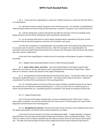Art. 6. In the event that a playoff game is rained out, called for darkness or reaches its time limit after it is an official game:

6.a. and the home team is ahead, the game is over and that team wins. For example, if a playoff game is called during the bottom of the 6th inning and the home team is ahead 6-5, the game is over and that team wins.

6.b. and the visiting team is ahead, and had the lead after the conclusion of the last complete inning played, the game will end and the visiting team will be deemed the winning team.

6.c. for all scenarios other than 6.a and 6.b above, the game will be suspended at that point, and the remainder of the inning will be played at a new time and if necessary, new venue.

6.d. After the resumption of a suspended game, the remainder of the interrupted inning shall proceed to its conclusion and, if one team is ahead, that team wins. After the resumption of a suspended game, the remainder of the interrupted inning shall proceed to its conclusion and, if the game is tied, the teams will continue play until a winner is determined.

In the event that a playoff game is rained out prior to becoming an official game, the game is replayed in its entirety.

Art. 7. Regular-season pitching limitations remain in effect during the playoffs.

Art. 8. Senior, Major, Minor, and Junior: Each team will participate in the league's playoff series. Where there are divisions, winners will advance until a representative of each division is determined. Where there are no divisions, winners will advance to the League Championship.

Art. 9. The playoff format will be determined by the board each season. The possible choices are singleelimination, double-elimination, or round-robin formats. The choices will be made by the board – taking into consideration the advice of the commissioners of the according division.

Art. 10. Consolation games can be part of the post-season schedule. Consolation games do not require two umpires but are otherwise considered playoff games, i.e. there is no time limit for consolation games, a winner must be determined, etc. Consolation games are considered "real" games for purposes of these rules.

Art. 11. League Championship:

Prior to the start of the league championship, a coin-toss will determine the "Home Team." Liberty, Senior, Major, and Minor: The coin-toss will determine the "Home Team" for the first game, the "Home Team" designation will alternate for the remaining games.

Art. 12. (Spring/Summer Season) In the event that teams tie for first place in the standings at the end of the regular season games, the division winner will be decided by a coin flip(s).

In the event of a three-way tie for first place, the following will apply. A single elimination, two-game playoff between the three teams will be played to determine the division winner and playoff seedings. If one team has a better record in head-to-head play with the other two teams, that team will receive a bye for game one. The other two teams will play, the loser will be seeded third and the winner will play the bye-team to